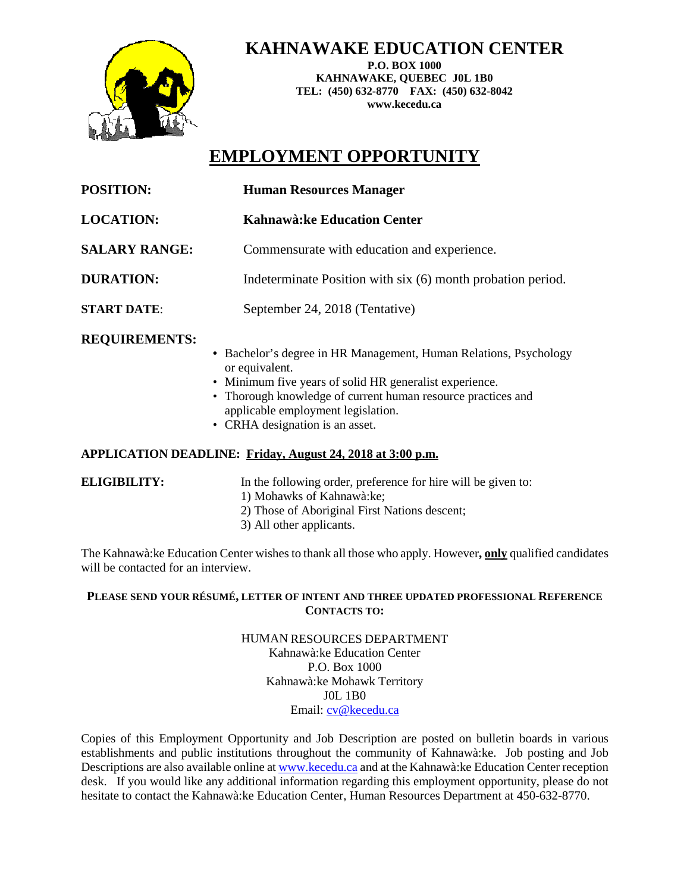

**KAHNAWAKE EDUCATION CENTER**

**P.O. BOX 1000 KAHNAWAKE, QUEBEC J0L 1B0 TEL: (450) 632-8770 FAX: (450) 632-8042 www.kecedu.ca**

# **EMPLOYMENT OPPORTUNITY**

| <b>POSITION:</b>     | <b>Human Resources Manager</b>                                    |
|----------------------|-------------------------------------------------------------------|
| <b>LOCATION:</b>     | Kahnawà: ke Education Center                                      |
| <b>SALARY RANGE:</b> | Commensurate with education and experience.                       |
| <b>DURATION:</b>     | Indeterminate Position with six (6) month probation period.       |
| <b>START DATE:</b>   | September 24, 2018 (Tentative)                                    |
| <b>REQUIREMENTS:</b> | • Bachelor's degree in HR Management, Human Relations, Psychology |

- or equivalent.
- Minimum five years of solid HR generalist experience.
- Thorough knowledge of current human resource practices and applicable employment legislation.
- CRHA designation is an asset.

# **APPLICATION DEADLINE: Friday, August 24, 2018 at 3:00 p.m.**

**ELIGIBILITY:** In the following order, preference for hire will be given to:

- 1) Mohawks of Kahnawà:ke;
- 2) Those of Aboriginal First Nations descent;
- 3) All other applicants.

The Kahnawà:ke Education Center wishes to thank all those who apply. However**, only** qualified candidates will be contacted for an interview.

## **PLEASE SEND YOUR RÉSUMÉ, LETTER OF INTENT AND THREE UPDATED PROFESSIONAL REFERENCE CONTACTS TO:**

HUMAN RESOURCES DEPARTMENT Kahnawà:ke Education Center P.O. Box 1000 Kahnawà:ke Mohawk Territory J0L 1B0 Email: [cv@kecedu.ca](mailto:cv@kecedu.ca)

Copies of this Employment Opportunity and Job Description are posted on bulletin boards in various establishments and public institutions throughout the community of Kahnawà:ke. Job posting and Job Descriptions are also available online a[t www.kecedu.ca](http://www.kecedu.ca/) and at the Kahnawà:ke Education Center reception desk. If you would like any additional information regarding this employment opportunity, please do not hesitate to contact the Kahnawà:ke Education Center, Human Resources Department at 450-632-8770.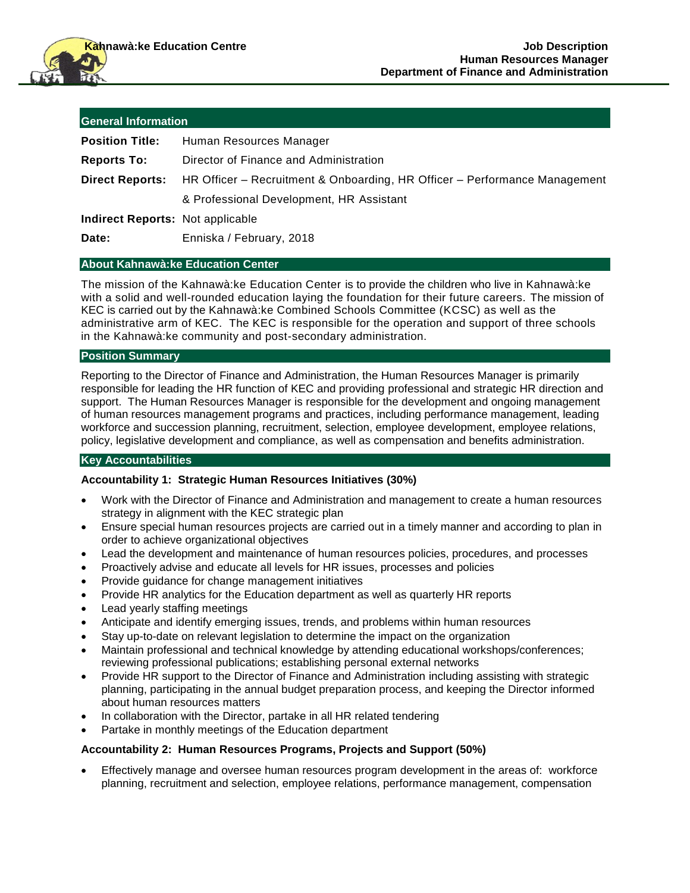| <b>General Information</b>              |                                                                            |
|-----------------------------------------|----------------------------------------------------------------------------|
| <b>Position Title:</b>                  | Human Resources Manager                                                    |
| <b>Reports To:</b>                      | Director of Finance and Administration                                     |
| <b>Direct Reports:</b>                  | HR Officer – Recruitment & Onboarding, HR Officer – Performance Management |
|                                         | & Professional Development, HR Assistant                                   |
| <b>Indirect Reports: Not applicable</b> |                                                                            |
| Date:                                   | Enniska / February, 2018                                                   |

#### **About Kahnawà:ke Education Center**

The mission of the Kahnawà:ke Education Center is to provide the children who live in Kahnawà:ke with a solid and well-rounded education laying the foundation for their future careers. The mission of KEC is carried out by the Kahnawà:ke Combined Schools Committee (KCSC) as well as the administrative arm of KEC. The KEC is responsible for the operation and support of three schools in the Kahnawà:ke community and post-secondary administration.

#### **Position Summary**

Reporting to the Director of Finance and Administration, the Human Resources Manager is primarily responsible for leading the HR function of KEC and providing professional and strategic HR direction and support. The Human Resources Manager is responsible for the development and ongoing management of human resources management programs and practices, including performance management, leading workforce and succession planning, recruitment, selection, employee development, employee relations, policy, legislative development and compliance, as well as compensation and benefits administration.

### **Key Accountabilities**

#### **Accountability 1: Strategic Human Resources Initiatives (30%)**

- Work with the Director of Finance and Administration and management to create a human resources strategy in alignment with the KEC strategic plan
- Ensure special human resources projects are carried out in a timely manner and according to plan in order to achieve organizational objectives
- Lead the development and maintenance of human resources policies, procedures, and processes
- Proactively advise and educate all levels for HR issues, processes and policies
- Provide guidance for change management initiatives
- Provide HR analytics for the Education department as well as quarterly HR reports
- Lead yearly staffing meetings
- Anticipate and identify emerging issues, trends, and problems within human resources
- Stay up-to-date on relevant legislation to determine the impact on the organization
- Maintain professional and technical knowledge by attending educational workshops/conferences; reviewing professional publications; establishing personal external networks
- Provide HR support to the Director of Finance and Administration including assisting with strategic planning, participating in the annual budget preparation process, and keeping the Director informed about human resources matters
- In collaboration with the Director, partake in all HR related tendering
- Partake in monthly meetings of the Education department

#### **Accountability 2: Human Resources Programs, Projects and Support (50%)**

 Effectively manage and oversee human resources program development in the areas of: workforce planning, recruitment and selection, employee relations, performance management, compensation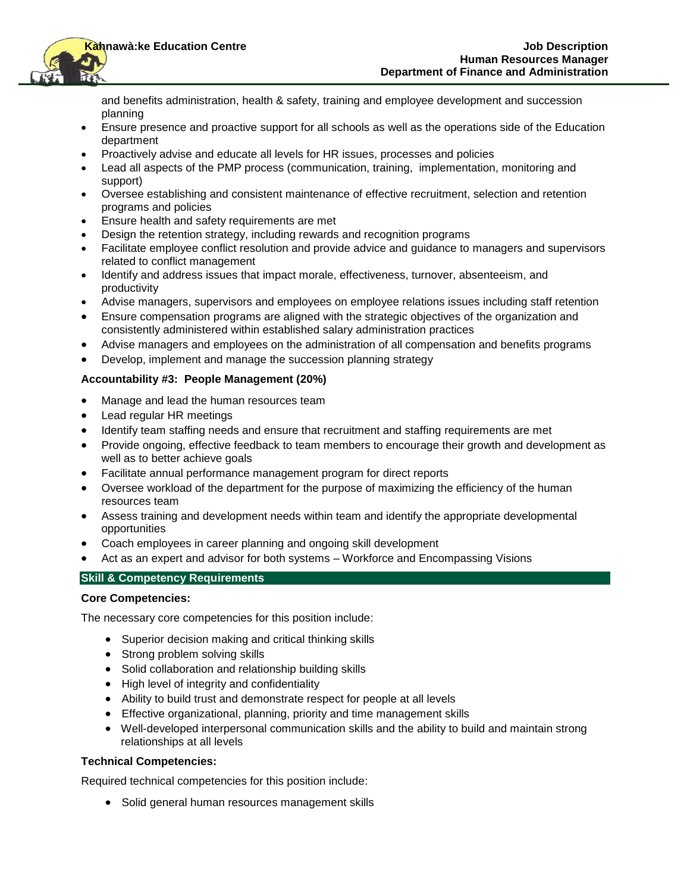

and benefits administration, health & safety, training and employee development and succession planning

- Ensure presence and proactive support for all schools as well as the operations side of the Education department
- Proactively advise and educate all levels for HR issues, processes and policies
- Lead all aspects of the PMP process (communication, training, implementation, monitoring and support)
- Oversee establishing and consistent maintenance of effective recruitment, selection and retention programs and policies
- Ensure health and safety requirements are met
- Design the retention strategy, including rewards and recognition programs
- Facilitate employee conflict resolution and provide advice and guidance to managers and supervisors related to conflict management
- Identify and address issues that impact morale, effectiveness, turnover, absenteeism, and productivity
- Advise managers, supervisors and employees on employee relations issues including staff retention
- Ensure compensation programs are aligned with the strategic objectives of the organization and consistently administered within established salary administration practices
- Advise managers and employees on the administration of all compensation and benefits programs
- Develop, implement and manage the succession planning strategy

### **Accountability #3: People Management (20%)**

- Manage and lead the human resources team
- Lead regular HR meetings
- Identify team staffing needs and ensure that recruitment and staffing requirements are met
- Provide ongoing, effective feedback to team members to encourage their growth and development as well as to better achieve goals
- Facilitate annual performance management program for direct reports
- Oversee workload of the department for the purpose of maximizing the efficiency of the human resources team
- Assess training and development needs within team and identify the appropriate developmental opportunities
- Coach employees in career planning and ongoing skill development
- Act as an expert and advisor for both systems Workforce and Encompassing Visions

#### **Skill & Competency Requirements**

#### **Core Competencies:**

The necessary core competencies for this position include:

- Superior decision making and critical thinking skills
- Strong problem solving skills
- Solid collaboration and relationship building skills
- High level of integrity and confidentiality
- Ability to build trust and demonstrate respect for people at all levels
- Effective organizational, planning, priority and time management skills
- Well-developed interpersonal communication skills and the ability to build and maintain strong relationships at all levels

#### **Technical Competencies:**

Required technical competencies for this position include:

• Solid general human resources management skills